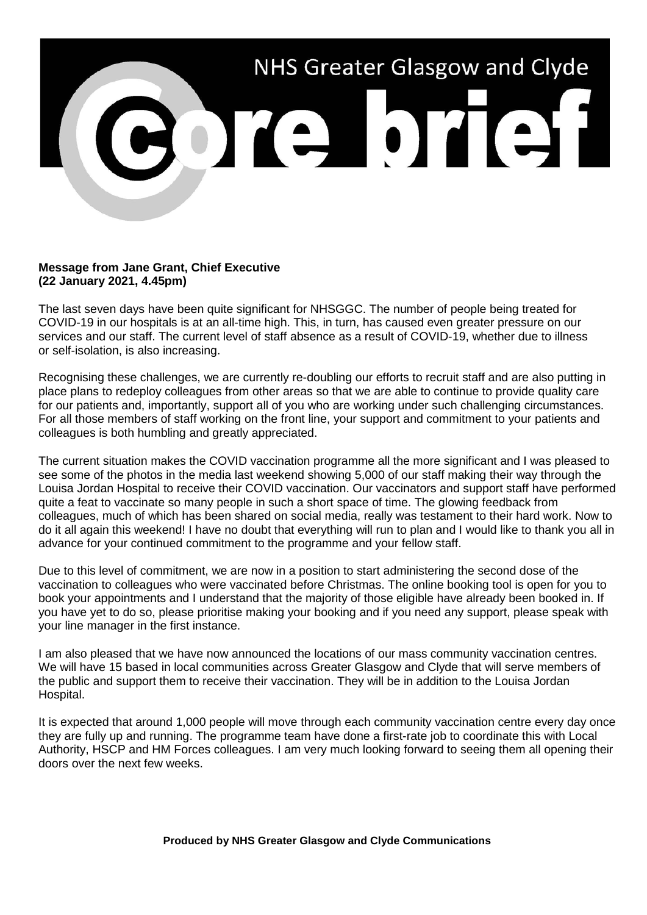

## **Message from Jane Grant, Chief Executive (22 January 2021, 4.45pm)**

The last seven days have been quite significant for NHSGGC. The number of people being treated for COVID-19 in our hospitals is at an all-time high. This, in turn, has caused even greater pressure on our services and our staff. The current level of staff absence as a result of COVID-19, whether due to illness or self-isolation, is also increasing.

Recognising these challenges, we are currently re-doubling our efforts to recruit staff and are also putting in place plans to redeploy colleagues from other areas so that we are able to continue to provide quality care for our patients and, importantly, support all of you who are working under such challenging circumstances. For all those members of staff working on the front line, your support and commitment to your patients and colleagues is both humbling and greatly appreciated.

The current situation makes the COVID vaccination programme all the more significant and I was pleased to see some of the photos in the media last weekend showing 5,000 of our staff making their way through the Louisa Jordan Hospital to receive their COVID vaccination. Our vaccinators and support staff have performed quite a feat to vaccinate so many people in such a short space of time. The glowing feedback from colleagues, much of which has been shared on social media, really was testament to their hard work. Now to do it all again this weekend! I have no doubt that everything will run to plan and I would like to thank you all in advance for your continued commitment to the programme and your fellow staff.

Due to this level of commitment, we are now in a position to start administering the second dose of the vaccination to colleagues who were vaccinated before Christmas. The online booking tool is open for you to book your appointments and I understand that the majority of those eligible have already been booked in. If you have yet to do so, please prioritise making your booking and if you need any support, please speak with your line manager in the first instance.

I am also pleased that we have now announced the locations of our mass community vaccination centres. We will have 15 based in local communities across Greater Glasgow and Clyde that will serve members of the public and support them to receive their vaccination. They will be in addition to the Louisa Jordan Hospital.

It is expected that around 1,000 people will move through each community vaccination centre every day once they are fully up and running. The programme team have done a first-rate job to coordinate this with Local Authority, HSCP and HM Forces colleagues. I am very much looking forward to seeing them all opening their doors over the next few weeks.

**Produced by NHS Greater Glasgow and Clyde Communications**